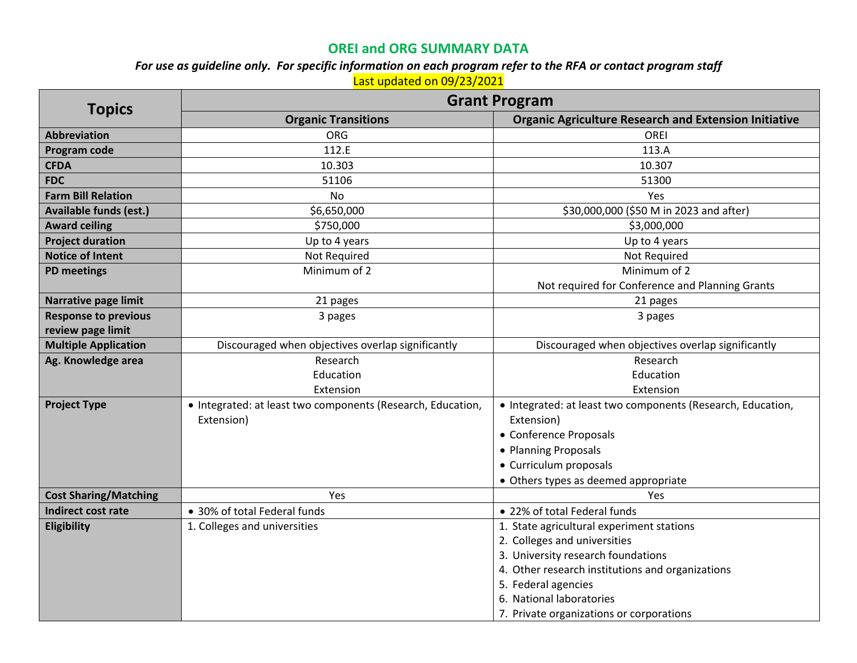## **OREI and ORG SUMMARY DATA**

*For use as guideline only. For specific information on each program refer to the RFA or contact program staff*

Last updated on 09/23/2021

| <b>Topics</b>                 | <b>Grant Program</b>                                        |                                                              |  |
|-------------------------------|-------------------------------------------------------------|--------------------------------------------------------------|--|
|                               | <b>Organic Transitions</b>                                  | <b>Organic Agriculture Research and Extension Initiative</b> |  |
| <b>Abbreviation</b>           | <b>ORG</b>                                                  | OREI                                                         |  |
| Program code                  | 112.E                                                       | 113.A                                                        |  |
| <b>CFDA</b>                   | 10.303                                                      | 10.307                                                       |  |
| <b>FDC</b>                    | 51106                                                       | 51300                                                        |  |
| <b>Farm Bill Relation</b>     | <b>No</b>                                                   | Yes                                                          |  |
| <b>Available funds (est.)</b> | \$6,650,000                                                 | \$30,000,000 (\$50 M in 2023 and after)                      |  |
| <b>Award ceiling</b>          | \$750,000                                                   | \$3,000,000                                                  |  |
| <b>Project duration</b>       | Up to 4 years                                               | Up to 4 years                                                |  |
| <b>Notice of Intent</b>       | Not Required                                                | Not Required                                                 |  |
| <b>PD meetings</b>            | Minimum of 2                                                | Minimum of 2                                                 |  |
|                               |                                                             | Not required for Conference and Planning Grants              |  |
| Narrative page limit          | 21 pages                                                    | 21 pages                                                     |  |
| <b>Response to previous</b>   | 3 pages                                                     | 3 pages                                                      |  |
| review page limit             |                                                             |                                                              |  |
| <b>Multiple Application</b>   | Discouraged when objectives overlap significantly           | Discouraged when objectives overlap significantly            |  |
| Ag. Knowledge area            | Research                                                    | Research                                                     |  |
|                               | Education                                                   | Education                                                    |  |
|                               | Extension                                                   | Extension                                                    |  |
| <b>Project Type</b>           | • Integrated: at least two components (Research, Education, | • Integrated: at least two components (Research, Education,  |  |
|                               | Extension)                                                  | Extension)                                                   |  |
|                               |                                                             | • Conference Proposals                                       |  |
|                               |                                                             | • Planning Proposals                                         |  |
|                               |                                                             | • Curriculum proposals                                       |  |
|                               |                                                             | • Others types as deemed appropriate                         |  |
| <b>Cost Sharing/Matching</b>  | Yes                                                         | Yes                                                          |  |
| <b>Indirect cost rate</b>     | • 30% of total Federal funds                                | • 22% of total Federal funds                                 |  |
| Eligibility                   | 1. Colleges and universities                                | 1. State agricultural experiment stations                    |  |
|                               |                                                             | 2. Colleges and universities                                 |  |
|                               |                                                             | 3. University research foundations                           |  |
|                               |                                                             | 4. Other research institutions and organizations             |  |
|                               |                                                             | 5. Federal agencies                                          |  |
|                               |                                                             | 6. National laboratories                                     |  |
|                               |                                                             | 7. Private organizations or corporations                     |  |